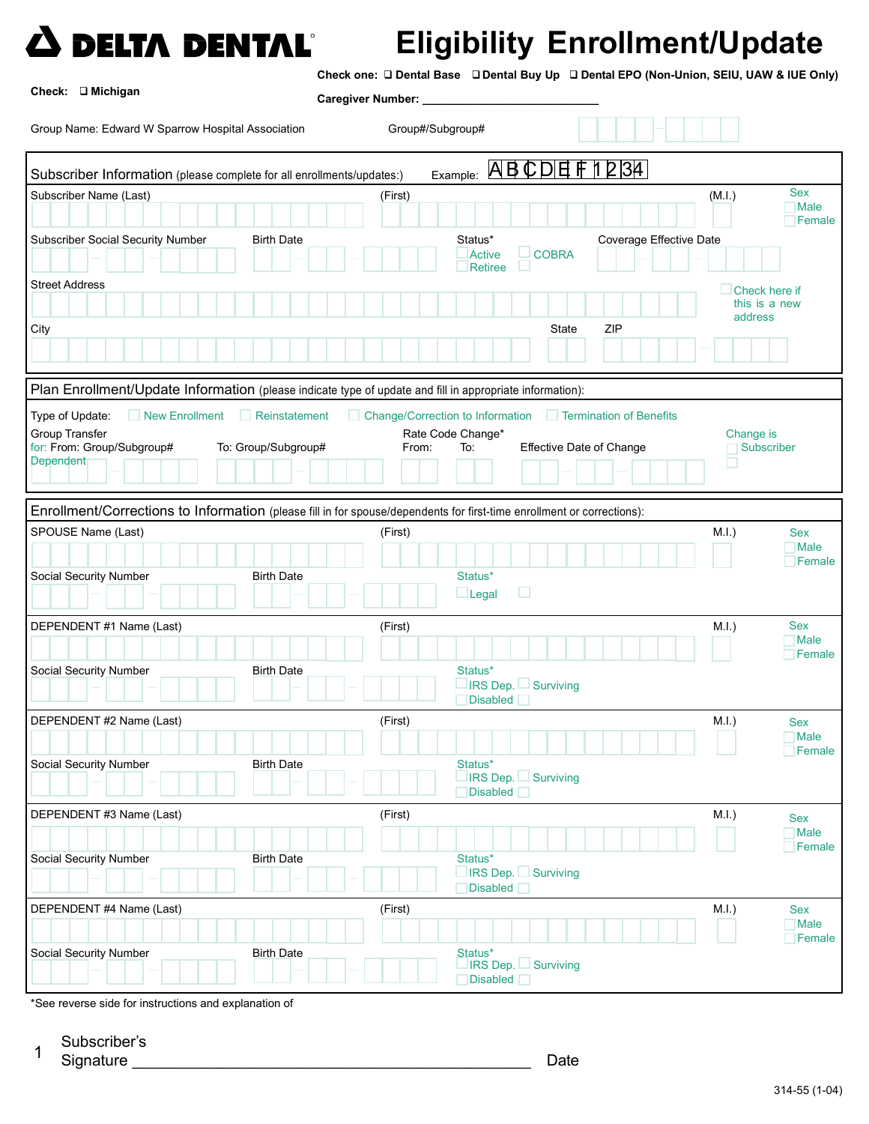

## Eligibility Enrollment/Update

Check one: Dental Base Dental Buy Up Dental EPO (Non-Union, SEIU, UAW & IUE Only)

| Check: □ Michigan                                                                                                      | Caregiver Number: _                        |                                                            |                           |  |
|------------------------------------------------------------------------------------------------------------------------|--------------------------------------------|------------------------------------------------------------|---------------------------|--|
| Group Name: Edward W Sparrow Hospital Association                                                                      | Group#/Subgroup#                           |                                                            |                           |  |
| Example: ABCDEF1234<br>Subscriber Information (please complete for all enrollments/updates:)                           |                                            |                                                            |                           |  |
| Subscriber Name (Last)                                                                                                 | (First)                                    | (M.I.)                                                     | <b>Sex</b>                |  |
|                                                                                                                        |                                            |                                                            | $\Box$ Male<br>Female     |  |
| <b>Subscriber Social Security Number</b><br><b>Birth Date</b>                                                          | Status*<br><b>Active</b><br><b>Retiree</b> | Coverage Effective Date<br><b>COBRA</b>                    |                           |  |
| <b>Street Address</b>                                                                                                  |                                            |                                                            | Check here if             |  |
|                                                                                                                        |                                            |                                                            | this is a new             |  |
| City                                                                                                                   |                                            | State<br>ZIP                                               | address                   |  |
|                                                                                                                        |                                            |                                                            |                           |  |
| Plan Enrollment/Update Information (please indicate type of update and fill in appropriate information):               |                                            |                                                            |                           |  |
| Type of Update:<br>New Enrollment<br>Reinstatement                                                                     |                                            | Change/Correction to Information   Termination of Benefits |                           |  |
| <b>Group Transfer</b>                                                                                                  | Rate Code Change*                          |                                                            | Change is                 |  |
| for: From: Group/Subgroup#<br>To: Group/Subgroup#                                                                      | From:<br>To:                               | Effective Date of Change                                   | Subscriber                |  |
| Dependent                                                                                                              |                                            |                                                            |                           |  |
|                                                                                                                        |                                            |                                                            |                           |  |
| Enrollment/Corrections to Information (please fill in for spouse/dependents for first-time enrollment or corrections): |                                            |                                                            |                           |  |
| SPOUSE Name (Last)                                                                                                     | (First)                                    | $M.I.$ )                                                   | <b>Sex</b>                |  |
|                                                                                                                        |                                            |                                                            | <b>Nale</b>               |  |
| Social Security Number<br><b>Birth Date</b>                                                                            | Status*                                    |                                                            | Female                    |  |
|                                                                                                                        | $\Box$ Legal                               | □                                                          |                           |  |
|                                                                                                                        |                                            |                                                            |                           |  |
| DEPENDENT #1 Name (Last)                                                                                               | (First)                                    | $M.I.$ )                                                   | <b>Sex</b><br><b>Male</b> |  |
|                                                                                                                        |                                            |                                                            | Female                    |  |
| Social Security Number<br><b>Birth Date</b>                                                                            | Status*                                    |                                                            |                           |  |
|                                                                                                                        | Disabled                                   | $\Box$ IRS Dep. $\Box$ Surviving                           |                           |  |
| DEPENDENT #2 Name (Last)                                                                                               | (First)                                    | M.I.)                                                      | Sex                       |  |
|                                                                                                                        |                                            |                                                            | Male                      |  |
| Social Security Number<br><b>Birth Date</b>                                                                            | Status*                                    |                                                            | Female                    |  |
|                                                                                                                        |                                            | $\Box$ IRS Dep. $\Box$ Surviving                           |                           |  |
|                                                                                                                        | Disabled <b>D</b>                          |                                                            |                           |  |
| DEPENDENT #3 Name (Last)                                                                                               | (First)                                    | M.I.)                                                      | <b>Sex</b>                |  |
|                                                                                                                        |                                            |                                                            | Male<br>Female            |  |
| Social Security Number<br><b>Birth Date</b>                                                                            | Status*                                    |                                                            |                           |  |
|                                                                                                                        | Disabled <b>D</b>                          | $\Box$ IRS Dep. $\Box$ Surviving                           |                           |  |
| DEPENDENT #4 Name (Last)                                                                                               |                                            | $M.I.$ )                                                   |                           |  |
|                                                                                                                        | (First)                                    |                                                            | Sex<br><b>Male</b>        |  |
|                                                                                                                        |                                            |                                                            | Female                    |  |
| <b>Social Security Number</b><br><b>Birth Date</b>                                                                     | Status*                                    | IRS Dep. Surviving                                         |                           |  |
|                                                                                                                        | Disabled <b>Disabled</b>                   |                                                            |                           |  |

\*See reverse side for instructions and explanation of

1 Subscriber's

Signature Date  $\mathcal{L}_\text{max}$  , where  $\mathcal{L}_\text{max}$  is the set of the set of the set of the set of the set of the set of the set of the set of the set of the set of the set of the set of the set of the set of the set of the set of the se